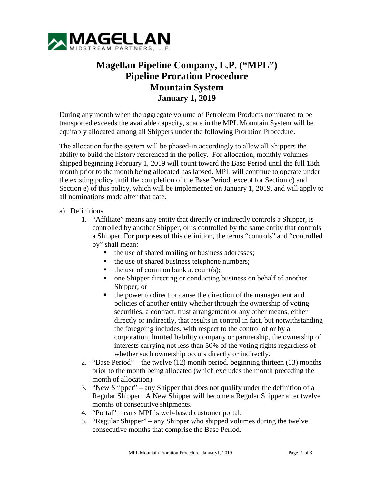

## **Magellan Pipeline Company, L.P. ("MPL") Pipeline Proration Procedure Mountain System January 1, 2019**

During any month when the aggregate volume of Petroleum Products nominated to be transported exceeds the available capacity, space in the MPL Mountain System will be equitably allocated among all Shippers under the following Proration Procedure.

The allocation for the system will be phased-in accordingly to allow all Shippers the ability to build the history referenced in the policy. For allocation, monthly volumes shipped beginning February 1, 2019 will count toward the Base Period until the full 13th month prior to the month being allocated has lapsed. MPL will continue to operate under the existing policy until the completion of the Base Period, except for Section c) and Section e) of this policy, which will be implemented on January 1, 2019, and will apply to all nominations made after that date.

## a) Definitions

- 1. "Affiliate" means any entity that directly or indirectly controls a Shipper, is controlled by another Shipper, or is controlled by the same entity that controls a Shipper. For purposes of this definition, the terms "controls" and "controlled by" shall mean:
	- the use of shared mailing or business addresses;
	- the use of shared business telephone numbers;
	- $\blacksquare$  the use of common bank account(s):
	- one Shipper directing or conducting business on behalf of another Shipper; or
	- the power to direct or cause the direction of the management and policies of another entity whether through the ownership of voting securities, a contract, trust arrangement or any other means, either directly or indirectly, that results in control in fact, but notwithstanding the foregoing includes, with respect to the control of or by a corporation, limited liability company or partnership, the ownership of interests carrying not less than 50% of the voting rights regardless of whether such ownership occurs directly or indirectly.
- 2. "Base Period" the twelve (12) month period, beginning thirteen (13) months prior to the month being allocated (which excludes the month preceding the month of allocation).
- 3. "New Shipper" any Shipper that does not qualify under the definition of a Regular Shipper. A New Shipper will become a Regular Shipper after twelve months of consecutive shipments.
- 4. "Portal" means MPL's web-based customer portal.
- 5. "Regular Shipper" any Shipper who shipped volumes during the twelve consecutive months that comprise the Base Period.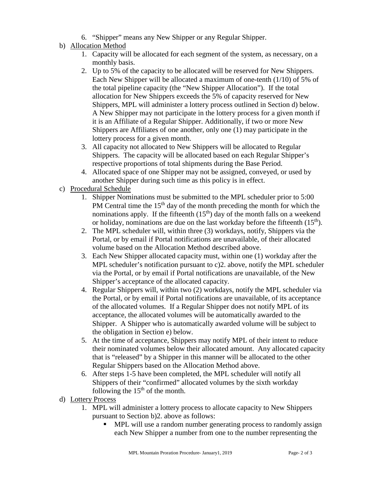- 6. "Shipper" means any New Shipper or any Regular Shipper.
- b) Allocation Method
	- 1. Capacity will be allocated for each segment of the system, as necessary, on a monthly basis.
	- 2. Up to 5% of the capacity to be allocated will be reserved for New Shippers. Each New Shipper will be allocated a maximum of one-tenth (1/10) of 5% of the total pipeline capacity (the "New Shipper Allocation"). If the total allocation for New Shippers exceeds the 5% of capacity reserved for New Shippers, MPL will administer a lottery process outlined in Section d) below. A New Shipper may not participate in the lottery process for a given month if it is an Affiliate of a Regular Shipper. Additionally, if two or more New Shippers are Affiliates of one another, only one (1) may participate in the lottery process for a given month.
	- 3. All capacity not allocated to New Shippers will be allocated to Regular Shippers. The capacity will be allocated based on each Regular Shipper's respective proportions of total shipments during the Base Period.
	- 4. Allocated space of one Shipper may not be assigned, conveyed, or used by another Shipper during such time as this policy is in effect.
- c) Procedural Schedule
	- 1. Shipper Nominations must be submitted to the MPL scheduler prior to 5:00 PM Central time the  $15<sup>th</sup>$  day of the month preceding the month for which the nominations apply. If the fifteenth  $(15<sup>th</sup>)$  day of the month falls on a weekend or holiday, nominations are due on the last workday before the fifteenth  $(15<sup>th</sup>)$ .
	- 2. The MPL scheduler will, within three (3) workdays, notify, Shippers via the Portal, or by email if Portal notifications are unavailable, of their allocated volume based on the Allocation Method described above.
	- 3. Each New Shipper allocated capacity must, within one (1) workday after the MPL scheduler's notification pursuant to c)2. above, notify the MPL scheduler via the Portal, or by email if Portal notifications are unavailable, of the New Shipper's acceptance of the allocated capacity.
	- 4. Regular Shippers will, within two (2) workdays, notify the MPL scheduler via the Portal, or by email if Portal notifications are unavailable, of its acceptance of the allocated volumes. If a Regular Shipper does not notify MPL of its acceptance, the allocated volumes will be automatically awarded to the Shipper. A Shipper who is automatically awarded volume will be subject to the obligation in Section e) below.
	- 5. At the time of acceptance, Shippers may notify MPL of their intent to reduce their nominated volumes below their allocated amount. Any allocated capacity that is "released" by a Shipper in this manner will be allocated to the other Regular Shippers based on the Allocation Method above.
	- 6. After steps 1-5 have been completed, the MPL scheduler will notify all Shippers of their "confirmed" allocated volumes by the sixth workday following the  $15<sup>th</sup>$  of the month.
- d) Lottery Process
	- 1. MPL will administer a lottery process to allocate capacity to New Shippers pursuant to Section b)2. above as follows:
		- MPL will use a random number generating process to randomly assign each New Shipper a number from one to the number representing the